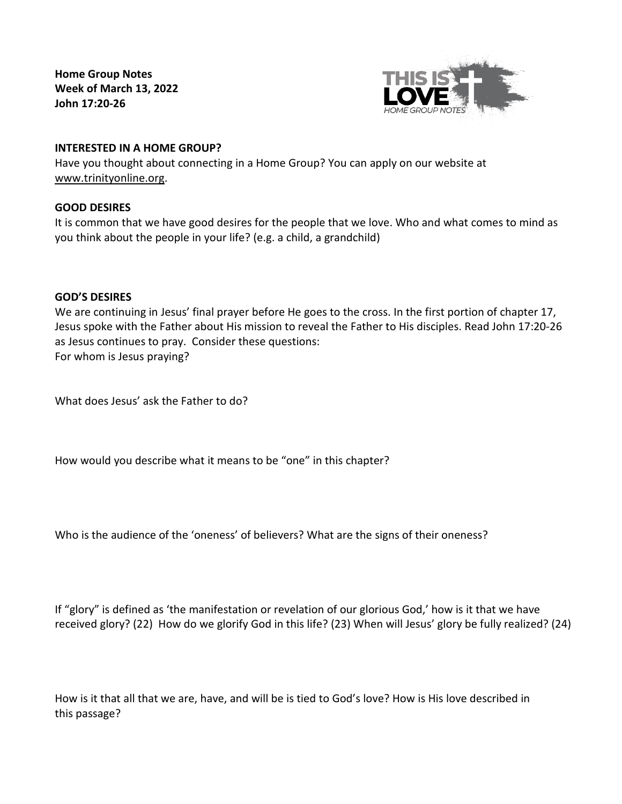**Home Group Notes Week of March 13, 2022 John 17:20-26**



# **INTERESTED IN A HOME GROUP?**

Have you thought about connecting in a Home Group? You can apply on our website at [www.trinityonline.org.](http://www.trinityonline.org/)

# **GOOD DESIRES**

It is common that we have good desires for the people that we love. Who and what comes to mind as you think about the people in your life? (e.g. a child, a grandchild)

## **GOD'S DESIRES**

We are continuing in Jesus' final prayer before He goes to the cross. In the first portion of chapter 17, Jesus spoke with the Father about His mission to reveal the Father to His disciples. Read John 17:20-26 as Jesus continues to pray. Consider these questions: For whom is Jesus praying?

What does Jesus' ask the Father to do?

How would you describe what it means to be "one" in this chapter?

Who is the audience of the 'oneness' of believers? What are the signs of their oneness?

If "glory" is defined as 'the manifestation or revelation of our glorious God,' how is it that we have received glory? (22) How do we glorify God in this life? (23) When will Jesus' glory be fully realized? (24)

How is it that all that we are, have, and will be is tied to God's love? How is His love described in this passage?